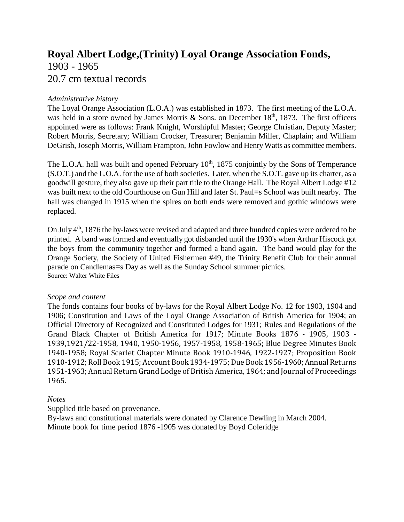# **Royal Albert Lodge,(Trinity) Loyal Orange Association Fonds,** 1903 - 1965 20.7 cm textual records

## *Administrative history*

The Loyal Orange Association (L.O.A.) was established in 1873. The first meeting of the L.O.A. was held in a store owned by James Morris & Sons. on December  $18<sup>th</sup>$ , 1873. The first officers appointed were as follows: Frank Knight, Worshipful Master; George Christian, Deputy Master; Robert Morris, Secretary; William Crocker, Treasurer; Benjamin Miller, Chaplain; and William DeGrish, Joseph Morris, William Frampton, John Fowlow and Henry Watts as committee members.

The L.O.A. hall was built and opened February  $10<sup>th</sup>$ , 1875 conjointly by the Sons of Temperance (S.O.T.) and the L.O.A. for the use of both societies. Later, when the S.O.T. gave up its charter, as a goodwill gesture, they also gave up their part title to the Orange Hall. The Royal Albert Lodge #12 was built next to the old Courthouse on Gun Hill and later St. Paul=s School was built nearby. The hall was changed in 1915 when the spires on both ends were removed and gothic windows were replaced.

On July 4<sup>th</sup>, 1876 the by-laws were revised and adapted and three hundred copies were ordered to be printed. A band was formed and eventually got disbanded until the 1930's when Arthur Hiscock got the boys from the community together and formed a band again. The band would play for the Orange Society, the Society of United Fishermen #49, the Trinity Benefit Club for their annual parade on Candlemas=s Day as well as the Sunday School summer picnics. Source: Walter White Files

## *Scope and content*

The fonds contains four books of by-laws for the Royal Albert Lodge No. 12 for 1903, 1904 and 1906; Constitution and Laws of the Loyal Orange Association of British America for 1904; an Official Directory of Recognized and Constituted Lodges for 1931; Rules and Regulations of the Grand Black Chapter of British America for 1917; Minute Books 1876 - 1905, 1903 - 1939,1921/22-1958, 1940, 1950-1956, 1957-1958, 1958-1965; Blue Degree Minutes Book 1940-1958; Royal Scarlet Chapter Minute Book 1910-1946, 1922-1927; Proposition Book 1910-1912; Roll Book 1915; Account Book 1934-1975; Due Book 1956-1960; Annual Returns 1951-1963; Annual Return Grand Lodge of British America, 1964; and Journal of Proceedings 1965.

## *Notes*

Supplied title based on provenance.

By-laws and constitutional materials were donated by Clarence Dewling in March 2004. Minute book for time period 1876 -1905 was donated by Boyd Coleridge